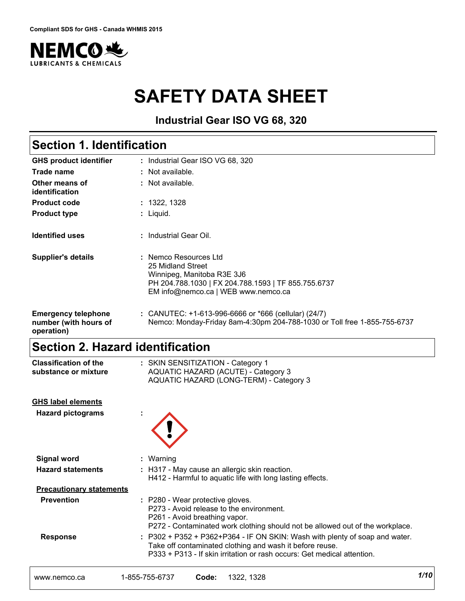

# **SAFETY DATA SHEET**

**Industrial Gear ISO VG 68, 320**

## **Section 1. Identification**

| <b>GHS product identifier</b>                                     | : Industrial Gear ISO VG 68, 320                                                                                                                                       |
|-------------------------------------------------------------------|------------------------------------------------------------------------------------------------------------------------------------------------------------------------|
| Trade name                                                        | : Not available.                                                                                                                                                       |
| Other means of<br>identification                                  | $\therefore$ Not available.                                                                                                                                            |
| <b>Product code</b>                                               | : 1322, 1328                                                                                                                                                           |
| <b>Product type</b>                                               | : Liquid.                                                                                                                                                              |
| <b>Identified uses</b>                                            | : Industrial Gear Oil.                                                                                                                                                 |
| <b>Supplier's details</b>                                         | : Nemco Resources Ltd<br>25 Midland Street<br>Winnipeg, Manitoba R3E 3J6<br>PH 204.788.1030   FX 204.788.1593   TF 855.755.6737<br>EM info@nemco.ca   WEB www.nemco.ca |
| <b>Emergency telephone</b><br>number (with hours of<br>operation) | : CANUTEC: +1-613-996-6666 or *666 (cellular) (24/7)<br>Nemco: Monday-Friday 8am-4:30pm 204-788-1030 or Toll free 1-855-755-6737                                       |

## **Section 2. Hazard identification**

| <b>Classification of the</b><br>substance or mixture | : SKIN SENSITIZATION - Category 1<br>AQUATIC HAZARD (ACUTE) - Category 3<br>AQUATIC HAZARD (LONG-TERM) - Category 3                                                                                                    |
|------------------------------------------------------|------------------------------------------------------------------------------------------------------------------------------------------------------------------------------------------------------------------------|
| <b>GHS label elements</b>                            |                                                                                                                                                                                                                        |
| <b>Hazard pictograms</b>                             |                                                                                                                                                                                                                        |
| <b>Signal word</b>                                   | : Warning                                                                                                                                                                                                              |
| <b>Hazard statements</b>                             | : H317 - May cause an allergic skin reaction.<br>H412 - Harmful to aquatic life with long lasting effects.                                                                                                             |
| <b>Precautionary statements</b>                      |                                                                                                                                                                                                                        |
| <b>Prevention</b>                                    | : P280 - Wear protective gloves.<br>P273 - Avoid release to the environment.<br>P261 - Avoid breathing vapor.<br>P272 - Contaminated work clothing should not be allowed out of the workplace.                         |
| <b>Response</b>                                      | $: P302 + P352 + P362 + P364 - IF ON SKIN: Wash with plenty of soap and water.$<br>Take off contaminated clothing and wash it before reuse.<br>P333 + P313 - If skin irritation or rash occurs: Get medical attention. |
|                                                      |                                                                                                                                                                                                                        |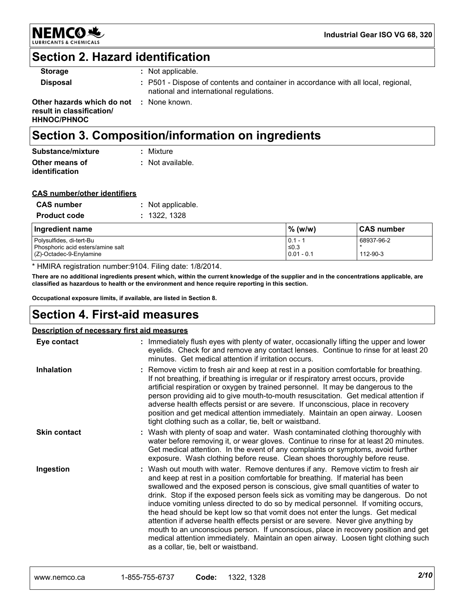

## **Section 2. Hazard identification**

| <b>Storage</b>                                                                | $\therefore$ Not applicable.                                                                                                  |
|-------------------------------------------------------------------------------|-------------------------------------------------------------------------------------------------------------------------------|
| <b>Disposal</b>                                                               | : P501 - Dispose of contents and container in accordance with all local, regional,<br>national and international regulations. |
| Other hazards which do not<br>result in classification/<br><b>HHNOC/PHNOC</b> | : None known.                                                                                                                 |

## **Section 3. Composition/information on ingredients**

| Substance/mixture                | : Mixture        |
|----------------------------------|------------------|
| Other means of<br>identification | : Not available. |

### **CAS number/other identifiers**

| <b>CAS number</b>   | : Not applicable. |
|---------------------|-------------------|
| <b>Product code</b> | : 1322, 1328      |

| Ingredient name                                                 | % (w/w)              | ∣CAS number |
|-----------------------------------------------------------------|----------------------|-------------|
| Polysulfides, di-tert-Bu                                        | $0.1 -$              | 68937-96-2  |
| Phosphoric acid esters/amine salt<br>$(Z)$ -Octadec-9-Enylamine | ≤0.3<br>$0.01 - 0.1$ | 112-90-3    |

\* HMIRA registration number:9104. Filing date: 1/8/2014.

**There are no additional ingredients present which, within the current knowledge of the supplier and in the concentrations applicable, are classified as hazardous to health or the environment and hence require reporting in this section.**

**Occupational exposure limits, if available, are listed in Section 8.**

## **Section 4. First-aid measures**

### **Description of necessary first aid measures**

| Eye contact         | : Immediately flush eyes with plenty of water, occasionally lifting the upper and lower<br>eyelids. Check for and remove any contact lenses. Continue to rinse for at least 20<br>minutes. Get medical attention if irritation occurs.                                                                                                                                                                                                                                                                                                                                                                                                                                                                                                                                                                                       |
|---------------------|------------------------------------------------------------------------------------------------------------------------------------------------------------------------------------------------------------------------------------------------------------------------------------------------------------------------------------------------------------------------------------------------------------------------------------------------------------------------------------------------------------------------------------------------------------------------------------------------------------------------------------------------------------------------------------------------------------------------------------------------------------------------------------------------------------------------------|
| <b>Inhalation</b>   | : Remove victim to fresh air and keep at rest in a position comfortable for breathing.<br>If not breathing, if breathing is irregular or if respiratory arrest occurs, provide<br>artificial respiration or oxygen by trained personnel. It may be dangerous to the<br>person providing aid to give mouth-to-mouth resuscitation. Get medical attention if<br>adverse health effects persist or are severe. If unconscious, place in recovery<br>position and get medical attention immediately. Maintain an open airway. Loosen<br>tight clothing such as a collar, tie, belt or waistband.                                                                                                                                                                                                                                 |
| <b>Skin contact</b> | : Wash with plenty of soap and water. Wash contaminated clothing thoroughly with<br>water before removing it, or wear gloves. Continue to rinse for at least 20 minutes.<br>Get medical attention. In the event of any complaints or symptoms, avoid further<br>exposure. Wash clothing before reuse. Clean shoes thoroughly before reuse.                                                                                                                                                                                                                                                                                                                                                                                                                                                                                   |
| Ingestion           | : Wash out mouth with water. Remove dentures if any. Remove victim to fresh air<br>and keep at rest in a position comfortable for breathing. If material has been<br>swallowed and the exposed person is conscious, give small quantities of water to<br>drink. Stop if the exposed person feels sick as vomiting may be dangerous. Do not<br>induce vomiting unless directed to do so by medical personnel. If vomiting occurs,<br>the head should be kept low so that vomit does not enter the lungs. Get medical<br>attention if adverse health effects persist or are severe. Never give anything by<br>mouth to an unconscious person. If unconscious, place in recovery position and get<br>medical attention immediately. Maintain an open airway. Loosen tight clothing such<br>as a collar, tie, belt or waistband. |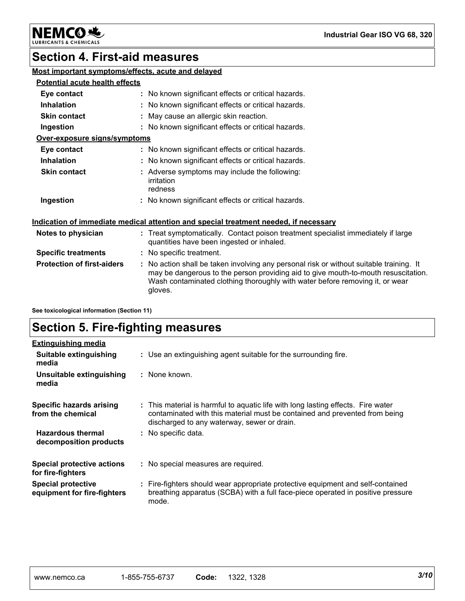

#### CHEMICALS LUBR

## **Section 4. First-aid measures**

### **Most important symptoms/effects, acute and delayed**

### **Potential acute health effects**

| Eye contact                  |  | : No known significant effects or critical hazards.                    |  |  |  |
|------------------------------|--|------------------------------------------------------------------------|--|--|--|
| <b>Inhalation</b>            |  | : No known significant effects or critical hazards.                    |  |  |  |
| <b>Skin contact</b>          |  | : May cause an allergic skin reaction.                                 |  |  |  |
| Ingestion                    |  | : No known significant effects or critical hazards.                    |  |  |  |
| Over-exposure signs/symptoms |  |                                                                        |  |  |  |
| Eye contact                  |  | : No known significant effects or critical hazards.                    |  |  |  |
| <b>Inhalation</b>            |  | : No known significant effects or critical hazards.                    |  |  |  |
| <b>Skin contact</b>          |  | : Adverse symptoms may include the following:<br>irritation<br>redness |  |  |  |
| Ingestion                    |  | : No known significant effects or critical hazards.                    |  |  |  |

### **Indication of immediate medical attention and special treatment needed, if necessary**

| Notes to physician                | : Treat symptomatically. Contact poison treatment specialist immediately if large<br>quantities have been ingested or inhaled.                                                                                                                                           |
|-----------------------------------|--------------------------------------------------------------------------------------------------------------------------------------------------------------------------------------------------------------------------------------------------------------------------|
| <b>Specific treatments</b>        | : No specific treatment.                                                                                                                                                                                                                                                 |
| <b>Protection of first-aiders</b> | : No action shall be taken involving any personal risk or without suitable training. It<br>may be dangerous to the person providing aid to give mouth-to-mouth resuscitation.<br>Wash contaminated clothing thoroughly with water before removing it, or wear<br>gloves. |

**See toxicological information (Section 11)**

## **Section 5. Fire-fighting measures**

| <b>Extinguishing media</b>                               |                                                                                                                                                                                                               |
|----------------------------------------------------------|---------------------------------------------------------------------------------------------------------------------------------------------------------------------------------------------------------------|
| Suitable extinguishing<br>media                          | : Use an extinguishing agent suitable for the surrounding fire.                                                                                                                                               |
| Unsuitable extinguishing<br>media                        | : None known.                                                                                                                                                                                                 |
| Specific hazards arising<br>from the chemical            | : This material is harmful to aquatic life with long lasting effects. Fire water<br>contaminated with this material must be contained and prevented from being<br>discharged to any waterway, sewer or drain. |
| <b>Hazardous thermal</b><br>decomposition products       | : No specific data.                                                                                                                                                                                           |
| <b>Special protective actions</b><br>for fire-fighters   | : No special measures are required.                                                                                                                                                                           |
| <b>Special protective</b><br>equipment for fire-fighters | : Fire-fighters should wear appropriate protective equipment and self-contained<br>breathing apparatus (SCBA) with a full face-piece operated in positive pressure<br>mode.                                   |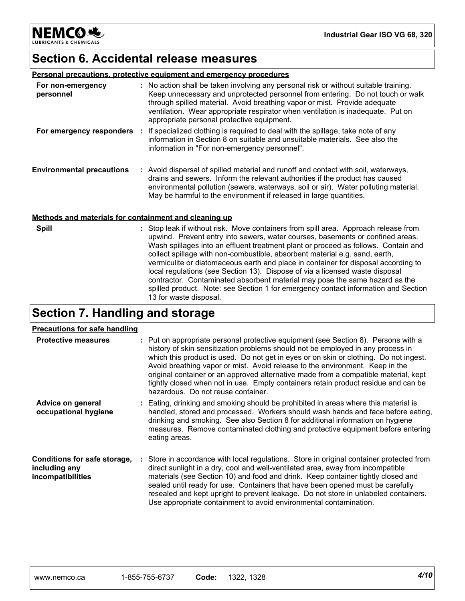**NEMCO头** LUBRICANTS & CHEMICALS

## **Section 6. Accidental release measures**

### **Personal precautions, protective equipment and emergency procedures**

| For non-emergency<br>personnel   | : No action shall be taken involving any personal risk or without suitable training.<br>Keep unnecessary and unprotected personnel from entering. Do not touch or walk<br>through spilled material. Avoid breathing vapor or mist. Provide adequate<br>ventilation. Wear appropriate respirator when ventilation is inadequate. Put on<br>appropriate personal protective equipment. |
|----------------------------------|--------------------------------------------------------------------------------------------------------------------------------------------------------------------------------------------------------------------------------------------------------------------------------------------------------------------------------------------------------------------------------------|
| For emergency responders         | : If specialized clothing is required to deal with the spillage, take note of any<br>information in Section 8 on suitable and unsuitable materials. See also the<br>information in "For non-emergency personnel".                                                                                                                                                                    |
| <b>Environmental precautions</b> | : Avoid dispersal of spilled material and runoff and contact with soil, waterways,<br>drains and sewers. Inform the relevant authorities if the product has caused<br>environmental pollution (sewers, waterways, soil or air). Water polluting material.<br>May be harmful to the environment if released in large quantities.                                                      |

### **Methods and materials for containment and cleaning up**

| <b>Spill</b> | : Stop leak if without risk. Move containers from spill area. Approach release from<br>upwind. Prevent entry into sewers, water courses, basements or confined areas.<br>Wash spillages into an effluent treatment plant or proceed as follows. Contain and<br>collect spillage with non-combustible, absorbent material e.g. sand, earth,<br>vermiculite or diatomaceous earth and place in container for disposal according to<br>local regulations (see Section 13). Dispose of via a licensed waste disposal<br>contractor. Contaminated absorbent material may pose the same hazard as the<br>spilled product. Note: see Section 1 for emergency contact information and Section<br>13 for waste disposal. |
|--------------|-----------------------------------------------------------------------------------------------------------------------------------------------------------------------------------------------------------------------------------------------------------------------------------------------------------------------------------------------------------------------------------------------------------------------------------------------------------------------------------------------------------------------------------------------------------------------------------------------------------------------------------------------------------------------------------------------------------------|
|--------------|-----------------------------------------------------------------------------------------------------------------------------------------------------------------------------------------------------------------------------------------------------------------------------------------------------------------------------------------------------------------------------------------------------------------------------------------------------------------------------------------------------------------------------------------------------------------------------------------------------------------------------------------------------------------------------------------------------------------|

## **Section 7. Handling and storage**

### **Precautions for safe handling**

| <u>I Tecautions for sale handling</u>                              |                                                                                                                                                                                                                                                                                                                                                                                                                                                                                                                                                                   |
|--------------------------------------------------------------------|-------------------------------------------------------------------------------------------------------------------------------------------------------------------------------------------------------------------------------------------------------------------------------------------------------------------------------------------------------------------------------------------------------------------------------------------------------------------------------------------------------------------------------------------------------------------|
| <b>Protective measures</b>                                         | : Put on appropriate personal protective equipment (see Section 8). Persons with a<br>history of skin sensitization problems should not be employed in any process in<br>which this product is used. Do not get in eyes or on skin or clothing. Do not ingest.<br>Avoid breathing vapor or mist. Avoid release to the environment. Keep in the<br>original container or an approved alternative made from a compatible material, kept<br>tightly closed when not in use. Empty containers retain product residue and can be<br>hazardous. Do not reuse container. |
| Advice on general<br>occupational hygiene                          | : Eating, drinking and smoking should be prohibited in areas where this material is<br>handled, stored and processed. Workers should wash hands and face before eating,<br>drinking and smoking. See also Section 8 for additional information on hygiene<br>measures. Remove contaminated clothing and protective equipment before entering<br>eating areas.                                                                                                                                                                                                     |
| Conditions for safe storage,<br>including any<br>incompatibilities | : Store in accordance with local regulations. Store in original container protected from<br>direct sunlight in a dry, cool and well-ventilated area, away from incompatible<br>materials (see Section 10) and food and drink. Keep container tightly closed and<br>sealed until ready for use. Containers that have been opened must be carefully<br>resealed and kept upright to prevent leakage. Do not store in unlabeled containers.<br>Use appropriate containment to avoid environmental contamination.                                                     |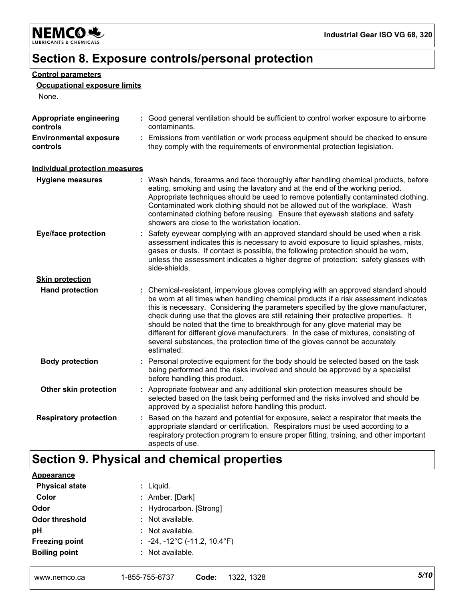

## **Section 8. Exposure controls/personal protection**

### **Control parameters**

### **Occupational exposure limits**

None.

| Appropriate engineering<br>controls       | : Good general ventilation should be sufficient to control worker exposure to airborne<br>contaminants.                                                                                                                                                                                                                                                                                                                                                                                                                                                                                                                   |
|-------------------------------------------|---------------------------------------------------------------------------------------------------------------------------------------------------------------------------------------------------------------------------------------------------------------------------------------------------------------------------------------------------------------------------------------------------------------------------------------------------------------------------------------------------------------------------------------------------------------------------------------------------------------------------|
| <b>Environmental exposure</b><br>controls | : Emissions from ventilation or work process equipment should be checked to ensure<br>they comply with the requirements of environmental protection legislation.                                                                                                                                                                                                                                                                                                                                                                                                                                                          |
| <b>Individual protection measures</b>     |                                                                                                                                                                                                                                                                                                                                                                                                                                                                                                                                                                                                                           |
| <b>Hygiene measures</b>                   | : Wash hands, forearms and face thoroughly after handling chemical products, before<br>eating, smoking and using the lavatory and at the end of the working period.<br>Appropriate techniques should be used to remove potentially contaminated clothing.<br>Contaminated work clothing should not be allowed out of the workplace. Wash<br>contaminated clothing before reusing. Ensure that eyewash stations and safety<br>showers are close to the workstation location.                                                                                                                                               |
| <b>Eye/face protection</b>                | Safety eyewear complying with an approved standard should be used when a risk<br>assessment indicates this is necessary to avoid exposure to liquid splashes, mists,<br>gases or dusts. If contact is possible, the following protection should be worn,<br>unless the assessment indicates a higher degree of protection: safety glasses with<br>side-shields.                                                                                                                                                                                                                                                           |
| <b>Skin protection</b>                    |                                                                                                                                                                                                                                                                                                                                                                                                                                                                                                                                                                                                                           |
| <b>Hand protection</b>                    | : Chemical-resistant, impervious gloves complying with an approved standard should<br>be worn at all times when handling chemical products if a risk assessment indicates<br>this is necessary. Considering the parameters specified by the glove manufacturer,<br>check during use that the gloves are still retaining their protective properties. It<br>should be noted that the time to breakthrough for any glove material may be<br>different for different glove manufacturers. In the case of mixtures, consisting of<br>several substances, the protection time of the gloves cannot be accurately<br>estimated. |
| <b>Body protection</b>                    | : Personal protective equipment for the body should be selected based on the task<br>being performed and the risks involved and should be approved by a specialist<br>before handling this product.                                                                                                                                                                                                                                                                                                                                                                                                                       |
| Other skin protection                     | : Appropriate footwear and any additional skin protection measures should be<br>selected based on the task being performed and the risks involved and should be<br>approved by a specialist before handling this product.                                                                                                                                                                                                                                                                                                                                                                                                 |
| <b>Respiratory protection</b>             | : Based on the hazard and potential for exposure, select a respirator that meets the<br>appropriate standard or certification. Respirators must be used according to a<br>respiratory protection program to ensure proper fitting, training, and other important<br>aspects of use.                                                                                                                                                                                                                                                                                                                                       |

## **Section 9. Physical and chemical properties**

| Appearance            |                                                   |
|-----------------------|---------------------------------------------------|
| <b>Physical state</b> | : Liquid.                                         |
| Color                 | : Amber. [Dark]                                   |
| Odor                  | : Hydrocarbon. [Strong]                           |
| <b>Odor threshold</b> | : Not available.                                  |
| рH                    | : Not available.                                  |
| <b>Freezing point</b> | : $-24, -12^{\circ}$ C ( $-11.2, 10.4^{\circ}$ F) |
| <b>Boiling point</b>  | $:$ Not available.                                |
|                       |                                                   |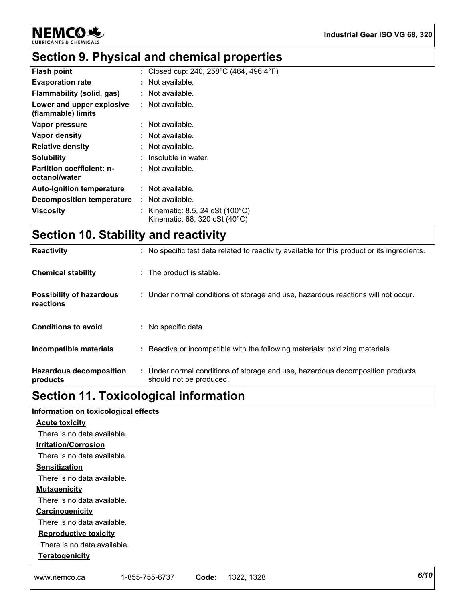**NEMCO头** & CHEMICALS **LUBRICA** 

#### **Industrial Gear ISO VG 68, 320**

# **Section 9. Physical and chemical properties**

| <b>Flash point</b>                                | : Closed cup: 240, 258°C (464, 496.4°F)                                               |
|---------------------------------------------------|---------------------------------------------------------------------------------------|
| <b>Evaporation rate</b>                           | : Not available.                                                                      |
| Flammability (solid, gas)                         | : Not available.                                                                      |
| Lower and upper explosive<br>(flammable) limits   | : Not available.                                                                      |
| Vapor pressure                                    | : Not available.                                                                      |
| Vapor density                                     | : Not available.                                                                      |
| <b>Relative density</b>                           | : Not available.                                                                      |
| <b>Solubility</b>                                 | : Insoluble in water.                                                                 |
| <b>Partition coefficient: n-</b><br>octanol/water | : Not available.                                                                      |
| <b>Auto-ignition temperature</b>                  | : Not available.                                                                      |
| Decomposition temperature                         | : Not available.                                                                      |
| <b>Viscosity</b>                                  | : Kinematic: 8.5, 24 cSt (100 $^{\circ}$ C)<br>Kinematic: 68, 320 cSt $(40^{\circ}C)$ |

## **Section 10. Stability and reactivity**

| <b>Reactivity</b>                            | : No specific test data related to reactivity available for this product or its ingredients.              |
|----------------------------------------------|-----------------------------------------------------------------------------------------------------------|
| <b>Chemical stability</b>                    | : The product is stable.                                                                                  |
| <b>Possibility of hazardous</b><br>reactions | : Under normal conditions of storage and use, hazardous reactions will not occur.                         |
| <b>Conditions to avoid</b>                   | : No specific data.                                                                                       |
| Incompatible materials                       | : Reactive or incompatible with the following materials: oxidizing materials.                             |
| <b>Hazardous decomposition</b><br>products   | : Under normal conditions of storage and use, hazardous decomposition products<br>should not be produced. |

## **Section 11. Toxicological information**

## **Information on toxicological effects**

| <b>Acute toxicity</b>        |  |  |  |
|------------------------------|--|--|--|
| There is no data available.  |  |  |  |
| <b>Irritation/Corrosion</b>  |  |  |  |
| There is no data available.  |  |  |  |
| <b>Sensitization</b>         |  |  |  |
| There is no data available.  |  |  |  |
| <b>Mutagenicity</b>          |  |  |  |
| There is no data available.  |  |  |  |
| <b>Carcinogenicity</b>       |  |  |  |
| There is no data available.  |  |  |  |
| <b>Reproductive toxicity</b> |  |  |  |
| There is no data available.  |  |  |  |
| <b>Teratogenicity</b>        |  |  |  |
|                              |  |  |  |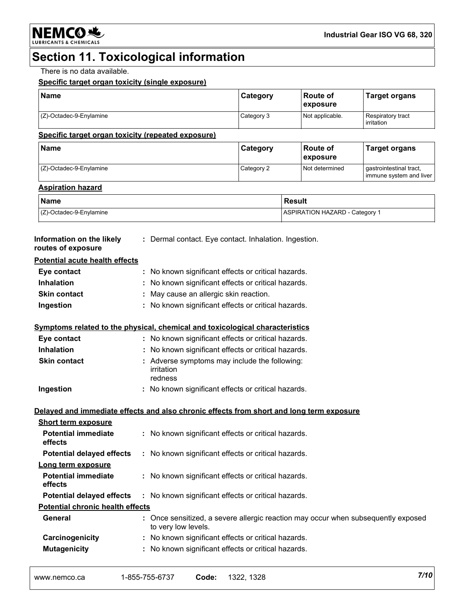## **Section 11. Toxicological information**

There is no data available.

### **Specific target organ toxicity (single exposure)**

| <b>Name</b>             | Category   | <b>Route of</b><br><b>exposure</b> | <b>Target organs</b>            |
|-------------------------|------------|------------------------------------|---------------------------------|
| (Z)-Octadec-9-Enylamine | Category 3 | Not applicable.                    | Respiratory tract<br>irritation |

#### **Specific target organ toxicity (repeated exposure)**

| Name                       | Category   | ⊺Route of<br><b>Lexposure</b> | <b>Target organs</b>                               |
|----------------------------|------------|-------------------------------|----------------------------------------------------|
| $(Z)$ -Octadec-9-Enylamine | Category 2 | Not determined                | gastrointestinal tract,<br>immune system and liver |

### **Aspiration hazard**

| <b>Name</b>                | <b>Result</b>                         |
|----------------------------|---------------------------------------|
| $(Z)$ -Octadec-9-Enylamine | <b>ASPIRATION HAZARD - Category 1</b> |

| Information on the likely<br>routes of exposure | : Dermal contact. Eye contact. Inhalation. Ingestion. |
|-------------------------------------------------|-------------------------------------------------------|
| <b>Potential acute health effects</b>           |                                                       |
| Eye contact                                     | : No known significant effects or critical hazards.   |
| <b>Inhalation</b>                               | : No known significant effects or critical hazards.   |
| <b>Skin contact</b>                             | : May cause an allergic skin reaction.                |
| Ingestion                                       | : No known significant effects or critical hazards.   |

### **Symptoms related to the physical, chemical and toxicological characteristics**

| Eye contact<br><b>Inhalation</b> | : No known significant effects or critical hazards.<br>: No known significant effects or critical hazards. |
|----------------------------------|------------------------------------------------------------------------------------------------------------|
| <b>Skin contact</b>              | : Adverse symptoms may include the following:<br>irritation<br>redness                                     |
| Ingestion                        | : No known significant effects or critical hazards.                                                        |

**Delayed and immediate effects and also chronic effects from short and long term exposure Short term exposure**

| ONULL LUI III GANUSULU                  |                                                                                                          |
|-----------------------------------------|----------------------------------------------------------------------------------------------------------|
| <b>Potential immediate</b><br>effects   | : No known significant effects or critical hazards.                                                      |
| <b>Potential delayed effects</b>        | : No known significant effects or critical hazards.                                                      |
| Long term exposure                      |                                                                                                          |
| <b>Potential immediate</b><br>effects   | : No known significant effects or critical hazards.                                                      |
| <b>Potential delayed effects</b>        | : No known significant effects or critical hazards.                                                      |
| <b>Potential chronic health effects</b> |                                                                                                          |
| General                                 | : Once sensitized, a severe allergic reaction may occur when subsequently exposed<br>to very low levels. |
| Carcinogenicity                         | : No known significant effects or critical hazards.                                                      |
| <b>Mutagenicity</b>                     | : No known significant effects or critical hazards.                                                      |
|                                         |                                                                                                          |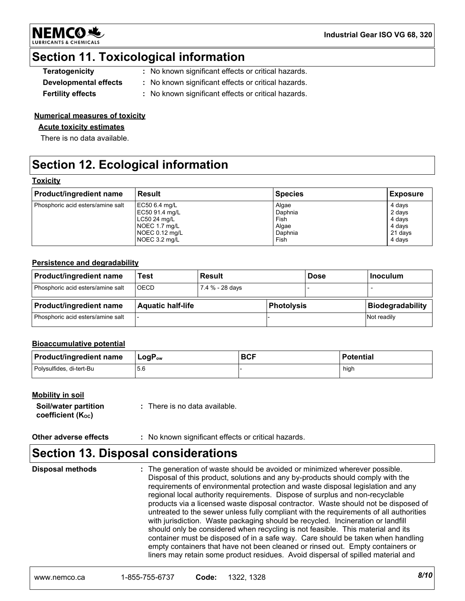

**Industrial Gear ISO VG 68, 320**

## **Section 11. Toxicological information**

| <b>Teratogenicity</b> | : No known significant effects or critical hazards. |
|-----------------------|-----------------------------------------------------|
| Developmental effects | : No known significant effects or critical hazards. |

**Fertility effects :** No known significant effects or critical hazards.

### **Numerical measures of toxicity**

### **Acute toxicity estimates**

There is no data available.

## **Section 12. Ecological information**

### **Toxicity**

| Product/ingredient name           | Result         | <b>Species</b> | Exposure |
|-----------------------------------|----------------|----------------|----------|
| Phosphoric acid esters/amine salt | EC50 6.4 mg/L  | Algae          | 4 days   |
|                                   | EC50 91.4 mg/L | Daphnia        | 2 days   |
|                                   | LC50 24 mg/L   | Fish           | 4 days   |
|                                   | NOEC 1.7 mg/L  | Algae          | 4 days   |
|                                   | NOEC 0.12 mg/L | Daphnia        | 21 days  |
|                                   | NOEC 3.2 mg/L  | Fish           | 4 days   |
|                                   |                |                |          |

### **Persistence and degradability**

| <b>Product/ingredient name</b>    | Test                     | <b>Result</b>   |            | <b>Dose</b> | l Inoculum              |
|-----------------------------------|--------------------------|-----------------|------------|-------------|-------------------------|
| Phosphoric acid esters/amine salt | OECD                     | 7.4 % - 28 days |            |             |                         |
|                                   |                          |                 |            |             |                         |
| <b>Product/ingredient name</b>    | <b>Aquatic half-life</b> |                 | Photolysis |             | <b>Biodegradability</b> |

### **Bioaccumulative potential**

| Product/ingredient name  | $LogP_{ow}$ | <b>BCF</b> | <b>Potential</b> |
|--------------------------|-------------|------------|------------------|
| Polysulfides, di-tert-Bu | .5.C        |            | high             |

### **Mobility in soil**

| Soil/water partition           | : There is no data available. |
|--------------------------------|-------------------------------|
| coefficient (K <sub>oc</sub> ) |                               |

**Other adverse effects** : No known significant effects or critical hazards.

## **Section 13. Disposal considerations**

The generation of waste should be avoided or minimized wherever possible. Disposal of this product, solutions and any by-products should comply with the requirements of environmental protection and waste disposal legislation and any regional local authority requirements. Dispose of surplus and non-recyclable products via a licensed waste disposal contractor. Waste should not be disposed of untreated to the sewer unless fully compliant with the requirements of all authorities with jurisdiction. Waste packaging should be recycled. Incineration or landfill should only be considered when recycling is not feasible. This material and its container must be disposed of in a safe way. Care should be taken when handling empty containers that have not been cleaned or rinsed out. Empty containers or liners may retain some product residues. Avoid dispersal of spilled material and **Disposal methods :**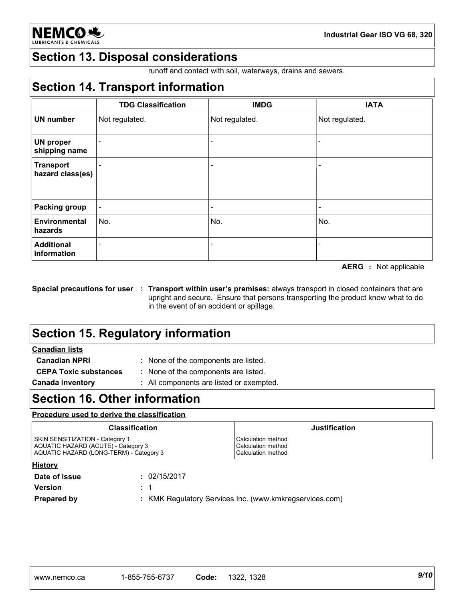

**Industrial Gear ISO VG 68, 320**

## **Section 13. Disposal considerations**

runoff and contact with soil, waterways, drains and sewers.

## **Section 14. Transport information**

|                                      | <b>TDG Classification</b> | <b>IMDG</b>              | <b>IATA</b>    |
|--------------------------------------|---------------------------|--------------------------|----------------|
| <b>UN number</b>                     | Not regulated.            | Not regulated.           | Not regulated. |
| <b>UN proper</b><br>shipping name    |                           |                          |                |
| <b>Transport</b><br>hazard class(es) |                           | $\overline{\phantom{0}}$ |                |
| <b>Packing group</b>                 |                           | -                        |                |
| Environmental<br>hazards             | No.                       | No.                      | No.            |
| <b>Additional</b><br>information     |                           |                          |                |

**AERG :** Not applicable

**Special precautions for user Transport within user's premises:** always transport in closed containers that are **:** upright and secure. Ensure that persons transporting the product know what to do in the event of an accident or spillage.

## **Section 15. Regulatory information**

### **Canadian lists**

**Canadian NPRI :** None of the components are listed. **CEPA Toxic substances :** None of the components are listed.

**Canada inventory :** All components are listed or exempted.

## **Section 16. Other information**

### **Procedure used to derive the classification**

| <b>Justification</b>                                           |
|----------------------------------------------------------------|
| Calculation method<br>Calculation method<br>Calculation method |
|                                                                |
|                                                                |

| Date of issue      | : 02/15/2017                                            |
|--------------------|---------------------------------------------------------|
| <b>Version</b>     | $\pm$ 1                                                 |
| <b>Prepared by</b> | : KMK Regulatory Services Inc. (www.kmkregservices.com) |